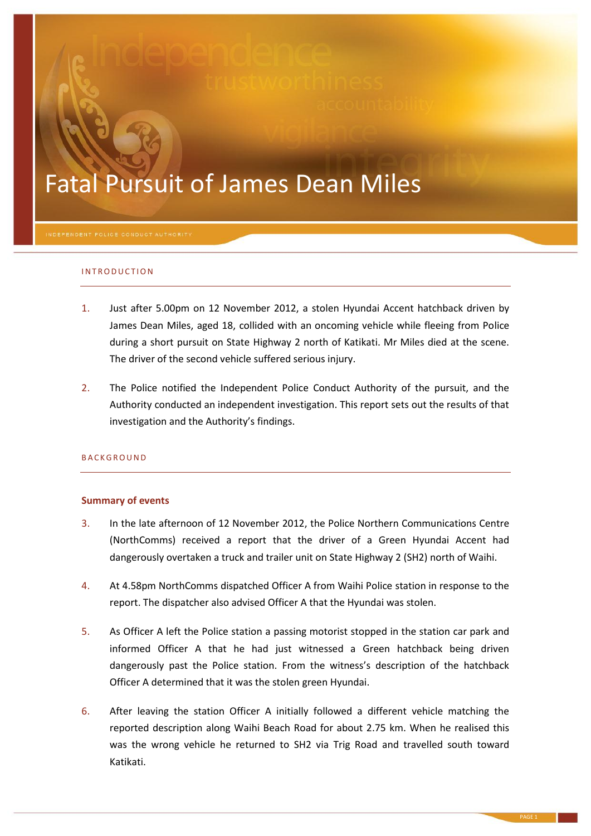# Fatal Pursuit of James Dean Miles

#### INTRODUCTION

- 1. Just after 5.00pm on 12 November 2012, a stolen Hyundai Accent hatchback driven by James Dean Miles, aged 18, collided with an oncoming vehicle while fleeing from Police during a short pursuit on State Highway 2 north of Katikati. Mr Miles died at the scene. The driver of the second vehicle suffered serious injury.
- 2. The Police notified the Independent Police Conduct Authority of the pursuit, and the Authority conducted an independent investigation. This report sets out the results of that investigation and the Authority's findings.

#### **BACKGROUND**

#### **Summary of events**

- 3. In the late afternoon of 12 November 2012, the Police Northern Communications Centre (NorthComms) received a report that the driver of a Green Hyundai Accent had dangerously overtaken a truck and trailer unit on State Highway 2 (SH2) north of Waihi.
- 4. At 4.58pm NorthComms dispatched Officer A from Waihi Police station in response to the report. The dispatcher also advised Officer A that the Hyundai was stolen.
- 5. As Officer A left the Police station a passing motorist stopped in the station car park and informed Officer A that he had just witnessed a Green hatchback being driven dangerously past the Police station. From the witness's description of the hatchback Officer A determined that it was the stolen green Hyundai.
- 6. After leaving the station Officer A initially followed a different vehicle matching the reported description along Waihi Beach Road for about 2.75 km. When he realised this was the wrong vehicle he returned to SH2 via Trig Road and travelled south toward Katikati.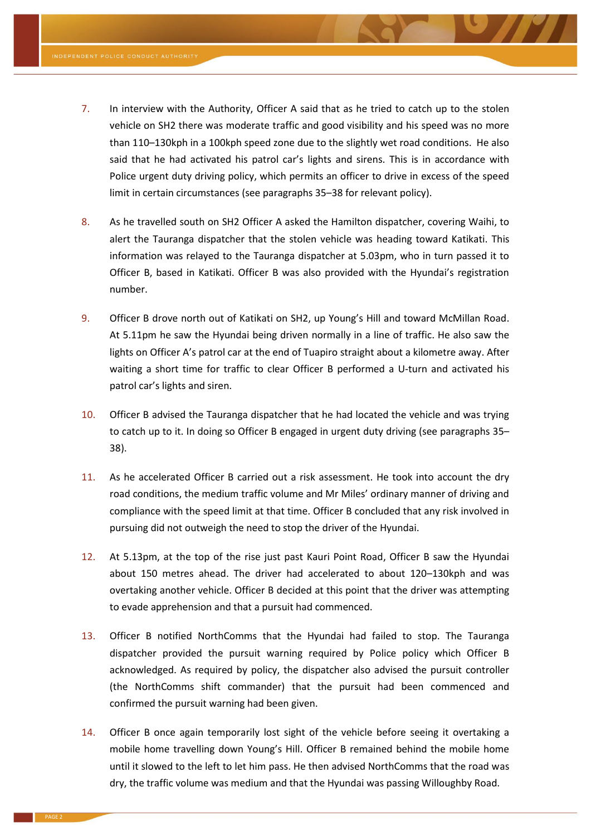- <span id="page-1-1"></span>7. In interview with the Authority, Officer A said that as he tried to catch up to the stolen vehicle on SH2 there was moderate traffic and good visibility and his speed was no more than 110–130kph in a 100kph speed zone due to the slightly wet road conditions. He also said that he had activated his patrol car's lights and sirens. This is in accordance with Police urgent duty driving policy, which permits an officer to drive in excess of the speed limit in certain circumstances (see paragraph[s 35](#page-4-0)–[38](#page-4-1) for relevant policy).
- 8. As he travelled south on SH2 Officer A asked the Hamilton dispatcher, covering Waihi, to alert the Tauranga dispatcher that the stolen vehicle was heading toward Katikati. This information was relayed to the Tauranga dispatcher at 5.03pm, who in turn passed it to Officer B, based in Katikati. Officer B was also provided with the Hyundai's registration number.
- 9. Officer B drove north out of Katikati on SH2, up Young's Hill and toward McMillan Road. At 5.11pm he saw the Hyundai being driven normally in a line of traffic. He also saw the lights on Officer A's patrol car at the end of Tuapiro straight about a kilometre away. After waiting a short time for traffic to clear Officer B performed a U-turn and activated his patrol car's lights and siren.
- 10. Officer B advised the Tauranga dispatcher that he had located the vehicle and was trying to catch up to it. In doing so Officer B engaged in urgent duty driving (see paragraphs [35](#page-4-0)– [38\)](#page-4-1).
- <span id="page-1-0"></span>11. As he accelerated Officer B carried out a risk assessment. He took into account the dry road conditions, the medium traffic volume and Mr Miles' ordinary manner of driving and compliance with the speed limit at that time. Officer B concluded that any risk involved in pursuing did not outweigh the need to stop the driver of the Hyundai.
- 12. At 5.13pm, at the top of the rise just past Kauri Point Road, Officer B saw the Hyundai about 150 metres ahead. The driver had accelerated to about 120–130kph and was overtaking another vehicle. Officer B decided at this point that the driver was attempting to evade apprehension and that a pursuit had commenced.
- 13. Officer B notified NorthComms that the Hyundai had failed to stop. The Tauranga dispatcher provided the pursuit warning required by Police policy which Officer B acknowledged. As required by policy, the dispatcher also advised the pursuit controller (the NorthComms shift commander) that the pursuit had been commenced and confirmed the pursuit warning had been given.
- 14. Officer B once again temporarily lost sight of the vehicle before seeing it overtaking a mobile home travelling down Young's Hill. Officer B remained behind the mobile home until it slowed to the left to let him pass. He then advised NorthComms that the road was dry, the traffic volume was medium and that the Hyundai was passing Willoughby Road.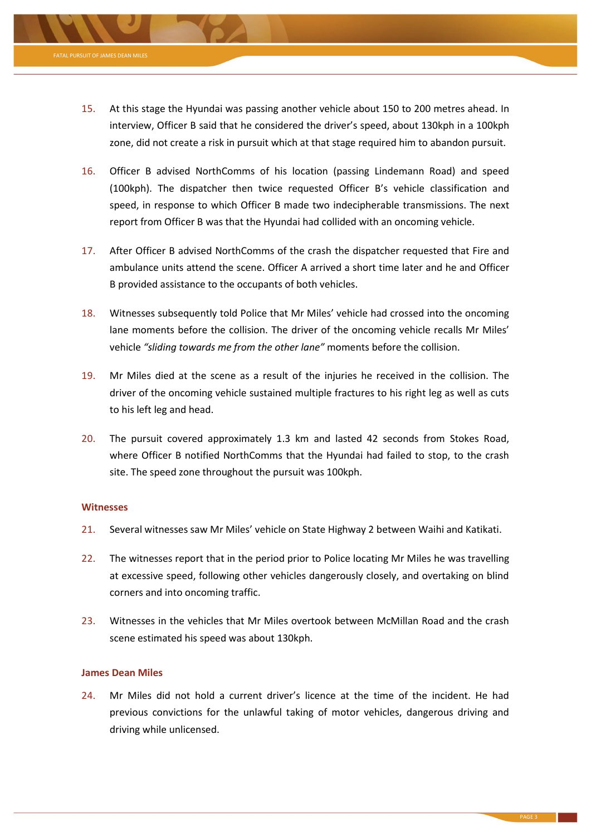

- 16. Officer B advised NorthComms of his location (passing Lindemann Road) and speed (100kph). The dispatcher then twice requested Officer B's vehicle classification and speed, in response to which Officer B made two indecipherable transmissions. The next report from Officer B was that the Hyundai had collided with an oncoming vehicle.
- 17. After Officer B advised NorthComms of the crash the dispatcher requested that Fire and ambulance units attend the scene. Officer A arrived a short time later and he and Officer B provided assistance to the occupants of both vehicles.
- 18. Witnesses subsequently told Police that Mr Miles' vehicle had crossed into the oncoming lane moments before the collision. The driver of the oncoming vehicle recalls Mr Miles' vehicle *"sliding towards me from the other lane"* moments before the collision.
- 19. Mr Miles died at the scene as a result of the injuries he received in the collision. The driver of the oncoming vehicle sustained multiple fractures to his right leg as well as cuts to his left leg and head.
- 20. The pursuit covered approximately 1.3 km and lasted 42 seconds from Stokes Road, where Officer B notified NorthComms that the Hyundai had failed to stop, to the crash site. The speed zone throughout the pursuit was 100kph.

### **Witnesses**

- 21. Several witnesses saw Mr Miles' vehicle on State Highway 2 between Waihi and Katikati.
- 22. The witnesses report that in the period prior to Police locating Mr Miles he was travelling at excessive speed, following other vehicles dangerously closely, and overtaking on blind corners and into oncoming traffic.
- 23. Witnesses in the vehicles that Mr Miles overtook between McMillan Road and the crash scene estimated his speed was about 130kph.

### **James Dean Miles**

24. Mr Miles did not hold a current driver's licence at the time of the incident. He had previous convictions for the unlawful taking of motor vehicles, dangerous driving and driving while unlicensed.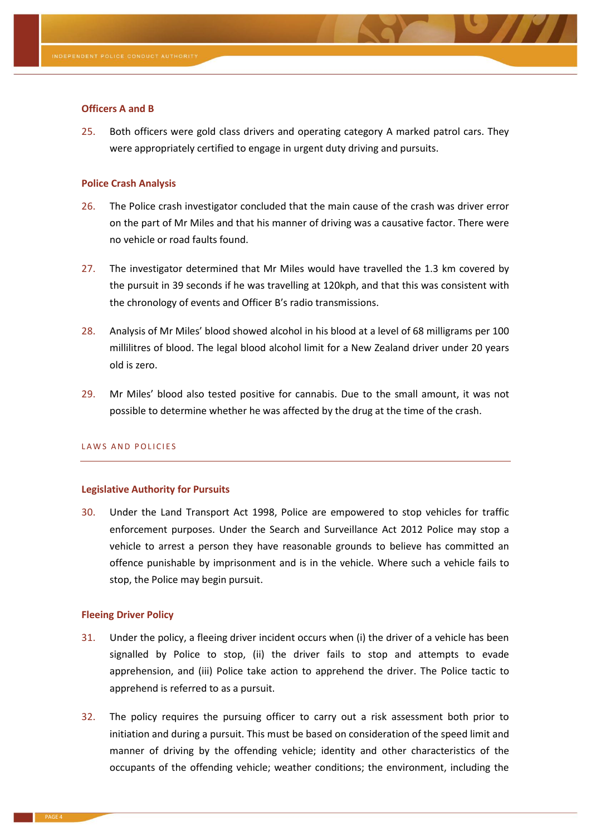

# **Officers A and B**

25. Both officers were gold class drivers and operating category A marked patrol cars. They were appropriately certified to engage in urgent duty driving and pursuits.

# **Police Crash Analysis**

- 26. The Police crash investigator concluded that the main cause of the crash was driver error on the part of Mr Miles and that his manner of driving was a causative factor. There were no vehicle or road faults found.
- 27. The investigator determined that Mr Miles would have travelled the 1.3 km covered by the pursuit in 39 seconds if he was travelling at 120kph, and that this was consistent with the chronology of events and Officer B's radio transmissions.
- 28. Analysis of Mr Miles' blood showed alcohol in his blood at a level of 68 milligrams per 100 millilitres of blood. The legal blood alcohol limit for a New Zealand driver under 20 years old is zero.
- 29. Mr Miles' blood also tested positive for cannabis. Due to the small amount, it was not possible to determine whether he was affected by the drug at the time of the crash.

### LAWS AND POLICIES

### **Legislative Authority for Pursuits**

30. Under the Land Transport Act 1998, Police are empowered to stop vehicles for traffic enforcement purposes. Under the Search and Surveillance Act 2012 Police may stop a vehicle to arrest a person they have reasonable grounds to believe has committed an offence punishable by imprisonment and is in the vehicle. Where such a vehicle fails to stop, the Police may begin pursuit.

## **Fleeing Driver Policy**

- 31. Under the policy, a fleeing driver incident occurs when (i) the driver of a vehicle has been signalled by Police to stop, (ii) the driver fails to stop and attempts to evade apprehension, and (iii) Police take action to apprehend the driver. The Police tactic to apprehend is referred to as a pursuit.
- 32. The policy requires the pursuing officer to carry out a risk assessment both prior to initiation and during a pursuit. This must be based on consideration of the speed limit and manner of driving by the offending vehicle; identity and other characteristics of the occupants of the offending vehicle; weather conditions; the environment, including the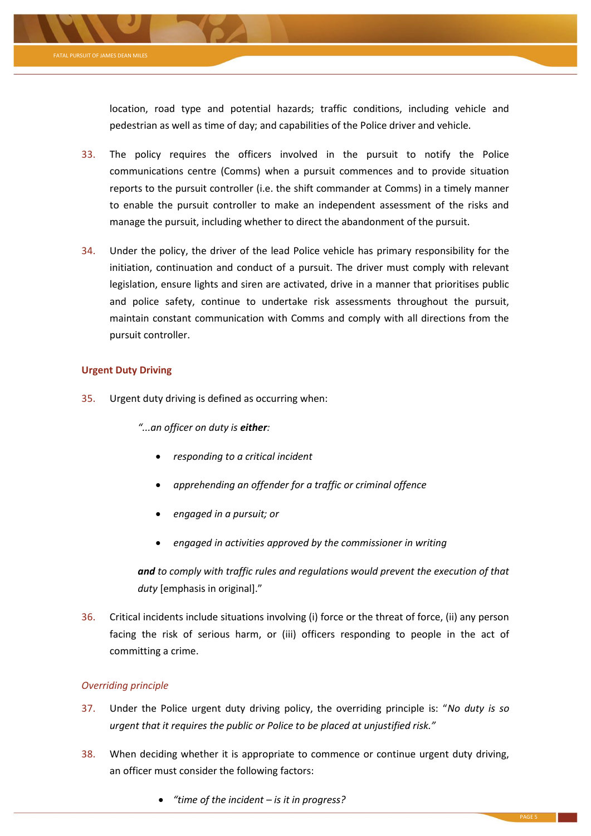

location, road type and potential hazards; traffic conditions, including vehicle and pedestrian as well as time of day; and capabilities of the Police driver and vehicle.

- 33. The policy requires the officers involved in the pursuit to notify the Police communications centre (Comms) when a pursuit commences and to provide situation reports to the pursuit controller (i.e. the shift commander at Comms) in a timely manner to enable the pursuit controller to make an independent assessment of the risks and manage the pursuit, including whether to direct the abandonment of the pursuit.
- 34. Under the policy, the driver of the lead Police vehicle has primary responsibility for the initiation, continuation and conduct of a pursuit. The driver must comply with relevant legislation, ensure lights and siren are activated, drive in a manner that prioritises public and police safety, continue to undertake risk assessments throughout the pursuit, maintain constant communication with Comms and comply with all directions from the pursuit controller.

# **Urgent Duty Driving**

<span id="page-4-0"></span>35. Urgent duty driving is defined as occurring when:

*"...an officer on duty is either:*

- *responding to a critical incident*
- *apprehending an offender for a traffic or criminal offence*
- *engaged in a pursuit; or*
- *engaged in activities approved by the commissioner in writing*

*and to comply with traffic rules and regulations would prevent the execution of that duty* [emphasis in original]."

36. Critical incidents include situations involving (i) force or the threat of force, (ii) any person facing the risk of serious harm, or (iii) officers responding to people in the act of committing a crime.

# *Overriding principle*

- 37. Under the Police urgent duty driving policy, the overriding principle is: "*No duty is so urgent that it requires the public or Police to be placed at unjustified risk."*
- <span id="page-4-1"></span>38. When deciding whether it is appropriate to commence or continue urgent duty driving, an officer must consider the following factors:
	- *"time of the incident – is it in progress?*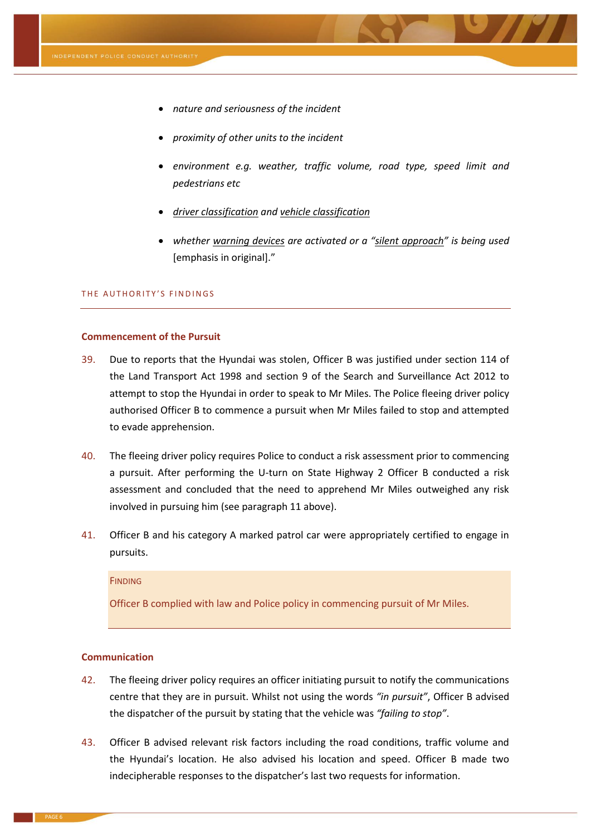

- *nature and seriousness of the incident*
- *proximity of other units to the incident*
- *environment e.g. weather, traffic volume, road type, speed limit and pedestrians etc*
- *driver classification and vehicle classification*
- *whether warning devices are activated or a "silent approach" is being used*  [emphasis in original]."

# THE AUTHORITY'S FINDINGS

#### **Commencement of the Pursuit**

- 39. Due to reports that the Hyundai was stolen, Officer B was justified under section 114 of the Land Transport Act 1998 and section 9 of the Search and Surveillance Act 2012 to attempt to stop the Hyundai in order to speak to Mr Miles. The Police fleeing driver policy authorised Officer B to commence a pursuit when Mr Miles failed to stop and attempted to evade apprehension.
- 40. The fleeing driver policy requires Police to conduct a risk assessment prior to commencing a pursuit. After performing the U-turn on State Highway 2 Officer B conducted a risk assessment and concluded that the need to apprehend Mr Miles outweighed any risk involved in pursuing him (see paragraph [11](#page-1-0) above).
- 41. Officer B and his category A marked patrol car were appropriately certified to engage in pursuits.

### **FINDING**

Officer B complied with law and Police policy in commencing pursuit of Mr Miles.

# **Communication**

- 42. The fleeing driver policy requires an officer initiating pursuit to notify the communications centre that they are in pursuit. Whilst not using the words *"in pursuit"*, Officer B advised the dispatcher of the pursuit by stating that the vehicle was *"failing to stop"*.
- 43. Officer B advised relevant risk factors including the road conditions, traffic volume and the Hyundai's location. He also advised his location and speed. Officer B made two indecipherable responses to the dispatcher's last two requests for information.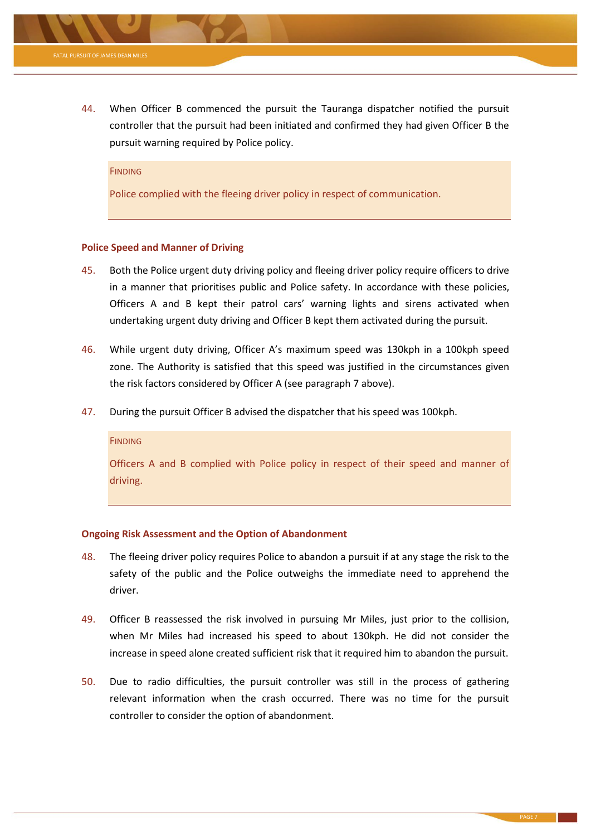

#### **FINDING**

Police complied with the fleeing driver policy in respect of communication.

#### **Police Speed and Manner of Driving**

pursuit warning required by Police policy.

- 45. Both the Police urgent duty driving policy and fleeing driver policy require officers to drive in a manner that prioritises public and Police safety. In accordance with these policies, Officers A and B kept their patrol cars' warning lights and sirens activated when undertaking urgent duty driving and Officer B kept them activated during the pursuit.
- 46. While urgent duty driving, Officer A's maximum speed was 130kph in a 100kph speed zone. The Authority is satisfied that this speed was justified in the circumstances given the risk factors considered by Officer A (see paragraph [7](#page-1-1) above).
- 47. During the pursuit Officer B advised the dispatcher that his speed was 100kph.

### **FINDING**

Officers A and B complied with Police policy in respect of their speed and manner of driving.

#### **Ongoing Risk Assessment and the Option of Abandonment**

- 48. The fleeing driver policy requires Police to abandon a pursuit if at any stage the risk to the safety of the public and the Police outweighs the immediate need to apprehend the driver.
- 49. Officer B reassessed the risk involved in pursuing Mr Miles, just prior to the collision, when Mr Miles had increased his speed to about 130kph. He did not consider the increase in speed alone created sufficient risk that it required him to abandon the pursuit.
- 50. Due to radio difficulties, the pursuit controller was still in the process of gathering relevant information when the crash occurred. There was no time for the pursuit controller to consider the option of abandonment.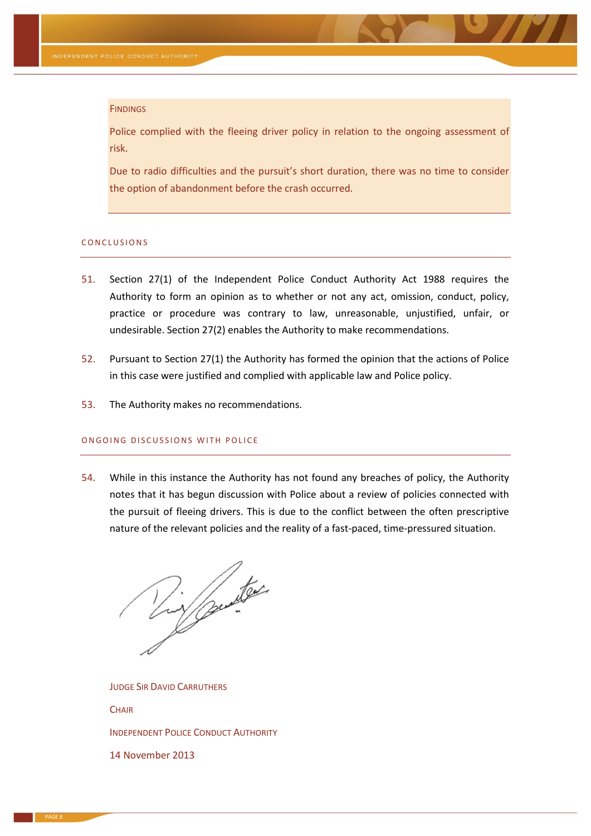#### **FINDINGS**

Police complied with the fleeing driver policy in relation to the ongoing assessment of risk.

Due to radio difficulties and the pursuit's short duration, there was no time to consider the option of abandonment before the crash occurred.

#### CONCLUSIONS

- 51. Section 27(1) of the Independent Police Conduct Authority Act 1988 requires the Authority to form an opinion as to whether or not any act, omission, conduct, policy, practice or procedure was contrary to law, unreasonable, unjustified, unfair, or undesirable. Section 27(2) enables the Authority to make recommendations.
- 52. Pursuant to Section 27(1) the Authority has formed the opinion that the actions of Police in this case were justified and complied with applicable law and Police policy.
- 53. The Authority makes no recommendations.

# ON GOING DISCUSSIONS WITH POLICE

54. While in this instance the Authority has not found any breaches of policy, the Authority notes that it has begun discussion with Police about a review of policies connected with the pursuit of fleeing drivers. This is due to the conflict between the often prescriptive nature of the relevant policies and the reality of a fast-paced, time-pressured situation.

Dix punter

JUDGE SIR DAVID CARRUTHERS

**CHAIR** 

INDEPENDENT POLICE CONDUCT AUTHORITY

14 November 2013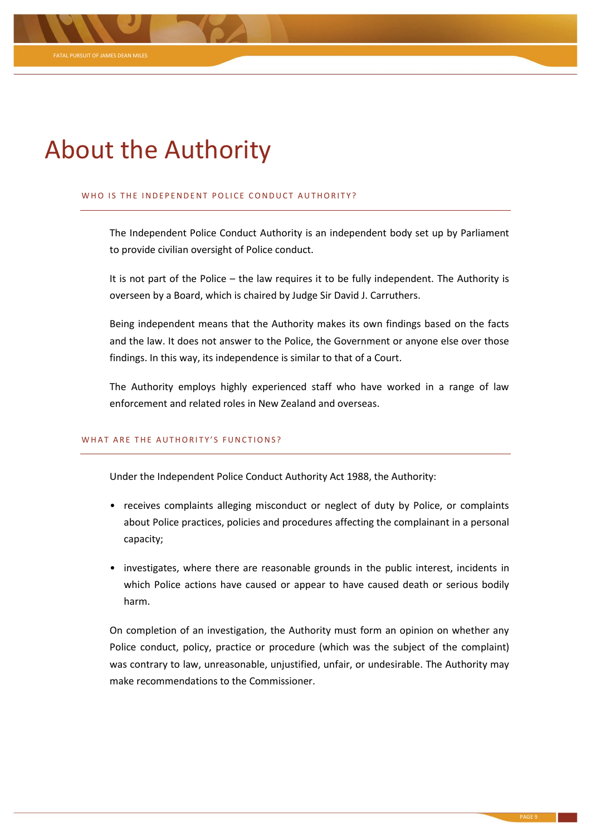# About the Authority

## WHO IS THE INDEPENDENT POLICE CONDUCT AUTHORITY?

The Independent Police Conduct Authority is an independent body set up by Parliament to provide civilian oversight of Police conduct.

It is not part of the Police – the law requires it to be fully independent. The Authority is overseen by a Board, which is chaired by Judge Sir David J. Carruthers.

Being independent means that the Authority makes its own findings based on the facts and the law. It does not answer to the Police, the Government or anyone else over those findings. In this way, its independence is similar to that of a Court.

The Authority employs highly experienced staff who have worked in a range of law enforcement and related roles in New Zealand and overseas.

# WHAT ARE THE AUTHORITY'S FUNCTIONS?

Under the Independent Police Conduct Authority Act 1988, the Authority:

- receives complaints alleging misconduct or neglect of duty by Police, or complaints about Police practices, policies and procedures affecting the complainant in a personal capacity;
- investigates, where there are reasonable grounds in the public interest, incidents in which Police actions have caused or appear to have caused death or serious bodily harm.

On completion of an investigation, the Authority must form an opinion on whether any Police conduct, policy, practice or procedure (which was the subject of the complaint) was contrary to law, unreasonable, unjustified, unfair, or undesirable. The Authority may make recommendations to the Commissioner.